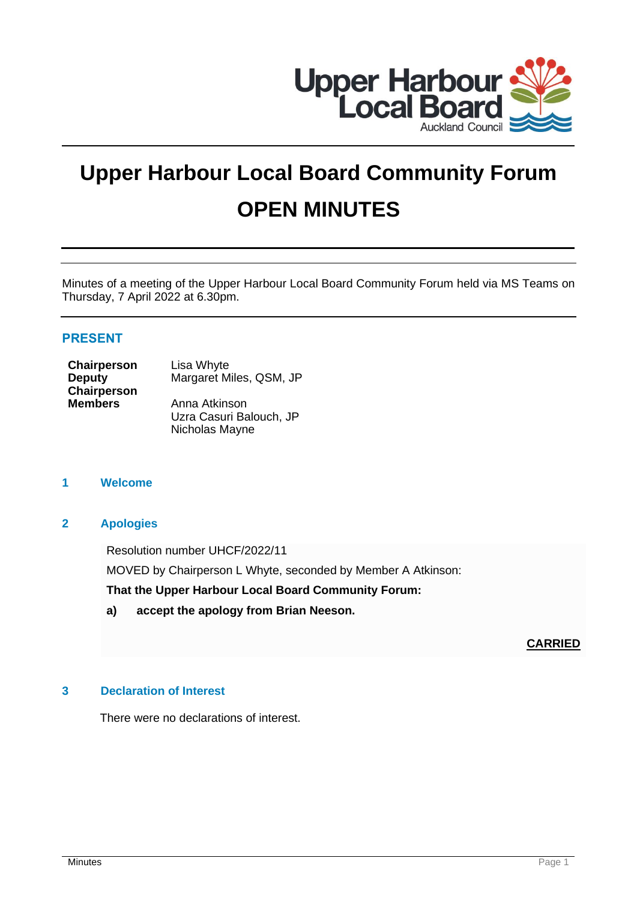

# **Upper Harbour Local Board Community Forum OPEN MINUTES**

Minutes of a meeting of the Upper Harbour Local Board Community Forum held via MS Teams on Thursday, 7 April 2022 at 6.30pm.

## **PRESENT**

| <b>Chairperson</b> | Lisa Whyte              |
|--------------------|-------------------------|
| <b>Deputy</b>      | Margaret Miles, QSM, JP |
| <b>Chairperson</b> |                         |
| <b>Members</b>     | Anna Atkinson           |
|                    | Uzra Casuri Balouch, JP |
|                    | Nicholas Mayne          |

## **1 Welcome**

### **2 Apologies**

Resolution number UHCF/2022/11

MOVED by Chairperson L Whyte, seconded by Member A Atkinson:

**That the Upper Harbour Local Board Community Forum:**

**a) accept the apology from Brian Neeson.**

## **CARRIED**

#### **3 Declaration of Interest**

There were no declarations of interest.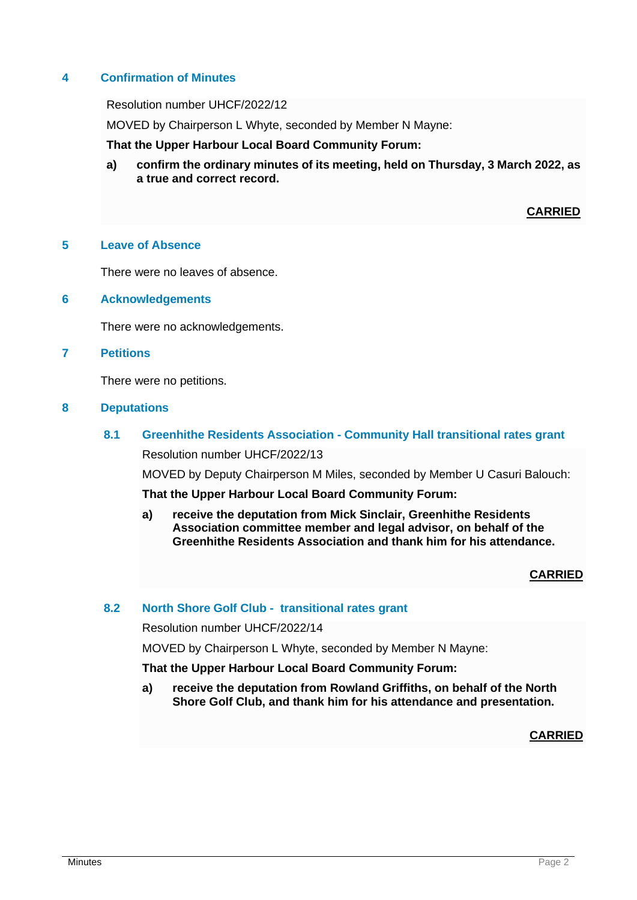## **4 Confirmation of Minutes**

Resolution number UHCF/2022/12

MOVED by Chairperson L Whyte, seconded by Member N Mayne:

**That the Upper Harbour Local Board Community Forum:**

**a) confirm the ordinary minutes of its meeting, held on Thursday, 3 March 2022, as a true and correct record.**

## **CARRIED**

#### **5 Leave of Absence**

There were no leaves of absence.

**6 Acknowledgements**

There were no acknowledgements.

#### **7 Petitions**

There were no petitions.

#### **8 Deputations**

## **8.1 Greenhithe Residents Association - Community Hall transitional rates grant**

Resolution number UHCF/2022/13

MOVED by Deputy Chairperson M Miles, seconded by Member U Casuri Balouch:

**That the Upper Harbour Local Board Community Forum:**

**a) receive the deputation from Mick Sinclair, Greenhithe Residents Association committee member and legal advisor, on behalf of the Greenhithe Residents Association and thank him for his attendance.**

## **CARRIED**

#### **8.2 North Shore Golf Club - transitional rates grant**

Resolution number UHCF/2022/14

MOVED by Chairperson L Whyte, seconded by Member N Mayne:

**That the Upper Harbour Local Board Community Forum:**

**a) receive the deputation from Rowland Griffiths, on behalf of the North Shore Golf Club, and thank him for his attendance and presentation.**

**CARRIED**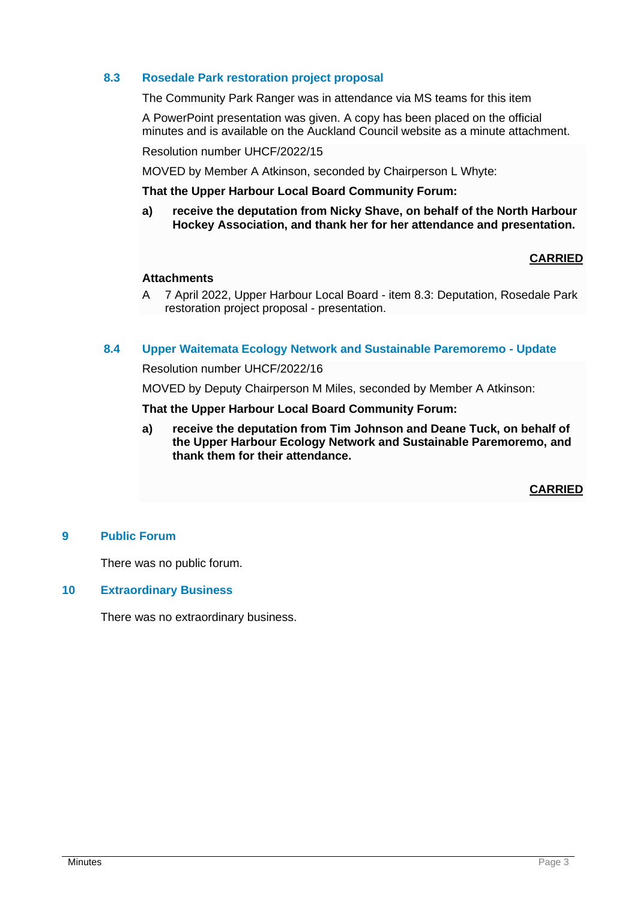## **8.3 Rosedale Park restoration project proposal**

The Community Park Ranger was in attendance via MS teams for this item

A PowerPoint presentation was given. A copy has been placed on the official minutes and is available on the Auckland Council website as a minute attachment.

Resolution number UHCF/2022/15

MOVED by Member A Atkinson, seconded by Chairperson L Whyte:

**That the Upper Harbour Local Board Community Forum:**

**a) receive the deputation from Nicky Shave, on behalf of the North Harbour Hockey Association, and thank her for her attendance and presentation.**

## **CARRIED**

#### **Attachments**

A 7 April 2022, Upper Harbour Local Board - item 8.3: Deputation, Rosedale Park restoration project proposal - presentation.

#### **8.4 Upper Waitemata Ecology Network and Sustainable Paremoremo - Update**

Resolution number UHCF/2022/16

MOVED by Deputy Chairperson M Miles, seconded by Member A Atkinson:

#### **That the Upper Harbour Local Board Community Forum:**

**a) receive the deputation from Tim Johnson and Deane Tuck, on behalf of the Upper Harbour Ecology Network and Sustainable Paremoremo, and thank them for their attendance.**

**CARRIED**

### **9 Public Forum**

There was no public forum.

#### **10 Extraordinary Business**

There was no extraordinary business.